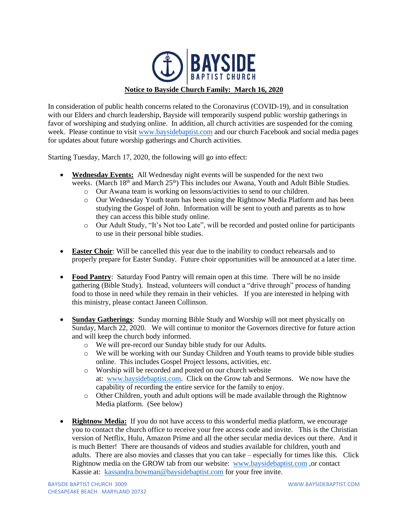

In consideration of public health concerns related to the Coronavirus (COVID-19), and in consultation with our Elders and church leadership, Bayside will temporarily suspend public worship gatherings in favor of worshiping and studying online. In addition, all church activities are suspended for the coming week. Please continue to visit [www.baysidebaptist.com](http://www.baysidebaptist.com/) and our church Facebook and social media pages for updates about future worship gatherings and Church activities.

Starting Tuesday, March 17, 2020, the following will go into effect:

- **Wednesday Events:** All Wednesday night events will be suspended for the next two weeks. (March 18<sup>th</sup> and March 25<sup>th</sup>) This includes our Awana, Youth and Adult Bible Studies.
	- o Our Awana team is working on lessons/activities to send to our children.
	- o Our Wednesday Youth team has been using the Rightnow Media Platform and has been studying the Gospel of John. Information will be sent to youth and parents as to how they can access this bible study online.
	- o Our Adult Study, "It's Not too Late", will be recorded and posted online for participants to use in their personal bible studies.
- **Easter Choir**: Will be cancelled this year due to the inability to conduct rehearsals and to properly prepare for Easter Sunday. Future choir opportunities will be announced at a later time.
- **Food Pantry**: Saturday Food Pantry will remain open at this time. There will be no inside gathering (Bible Study). Instead, volunteers will conduct a "drive through" process of handing food to those in need while they remain in their vehicles. If you are interested in helping with this ministry, please contact Janeen Collinson.
- **Sunday Gatherings**: Sunday morning Bible Study and Worship will not meet physically on Sunday, March 22, 2020. We will continue to monitor the Governors directive for future action and will keep the church body informed.
	- o We will pre-record our Sunday bible study for our Adults.
	- o We will be working with our Sunday Children and Youth teams to provide bible studies online. This includes Gospel Project lessons, activities, etc.
	- o Worship will be recorded and posted on our church website at: [www.baysidebaptist.com.](http://www.baysidebaptist.com/) Click on the Grow tab and Sermons. We now have the capability of recording the entire service for the family to enjoy.
	- $\circ$  Other Children, youth and adult options will be made available through the Rightnow Media platform. (See below)
- **Rightnow Media:** If you do not have access to this wonderful media platform, we encourage you to contact the church office to receive your free access code and invite. This is the Christian version of Netflix, Hulu, Amazon Prime and all the other secular media devices out there. And it is much Better! There are thousands of videos and studies available for children, youth and adults. There are also movies and classes that you can take – especially for times like this. Click Rightnow media on the GROW tab from our website: [www.baysidebaptist.com](http://www.baysidebaptist.com/) ,or contact Kassie at: [kassandra.bowman@baysidebaptist.com](mailto:kassandra.bowman@baysidebaptist.com) for your free invite.